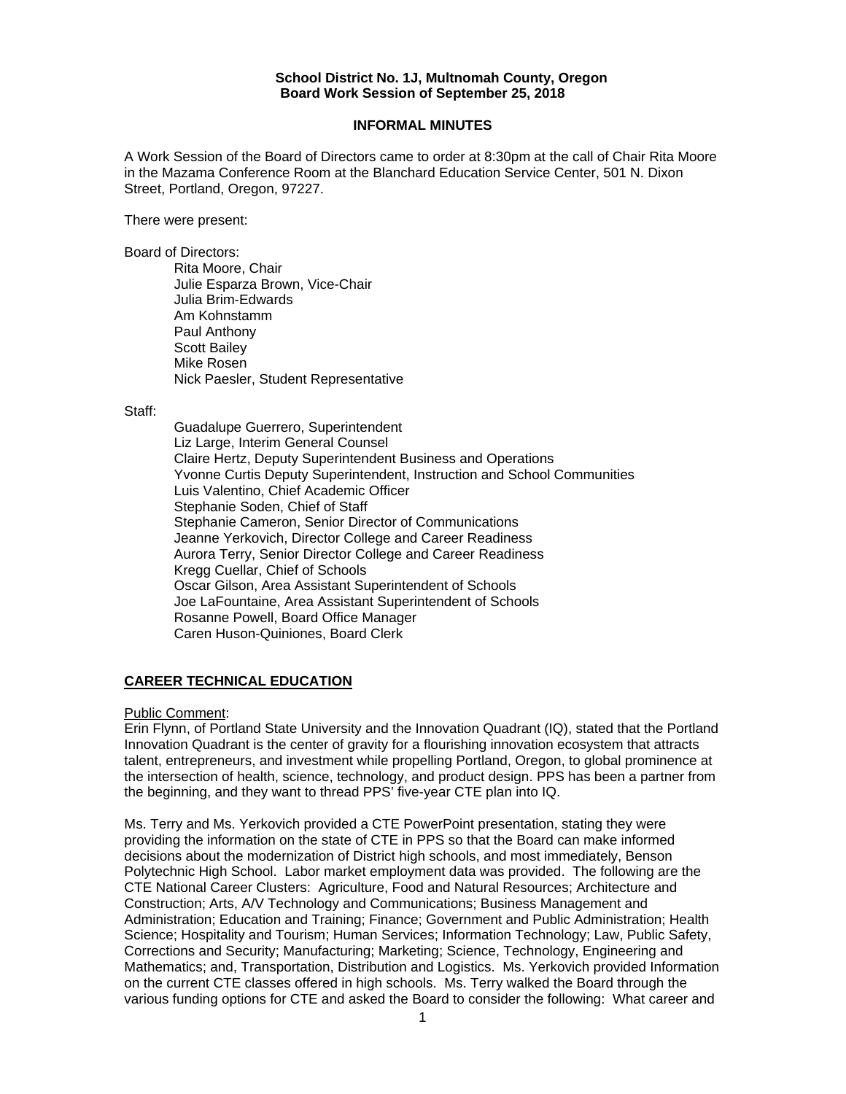#### **School District No. 1J, Multnomah County, Oregon Board Work Session of September 25, 2018**

### **INFORMAL MINUTES**

A Work Session of the Board of Directors came to order at 8:30pm at the call of Chair Rita Moore in the Mazama Conference Room at the Blanchard Education Service Center, 501 N. Dixon Street, Portland, Oregon, 97227.

There were present:

Board of Directors:

Rita Moore, Chair Julie Esparza Brown, Vice-Chair Julia Brim-Edwards Am Kohnstamm Paul Anthony Scott Bailey Mike Rosen Nick Paesler, Student Representative

#### Staff:

 Guadalupe Guerrero, Superintendent Liz Large, Interim General Counsel Claire Hertz, Deputy Superintendent Business and Operations Yvonne Curtis Deputy Superintendent, Instruction and School Communities Luis Valentino, Chief Academic Officer Stephanie Soden, Chief of Staff Stephanie Cameron, Senior Director of Communications Jeanne Yerkovich, Director College and Career Readiness Aurora Terry, Senior Director College and Career Readiness Kregg Cuellar, Chief of Schools Oscar Gilson, Area Assistant Superintendent of Schools Joe LaFountaine, Area Assistant Superintendent of Schools Rosanne Powell, Board Office Manager Caren Huson-Quiniones, Board Clerk

## **CAREER TECHNICAL EDUCATION**

Public Comment:

Erin Flynn, of Portland State University and the Innovation Quadrant (IQ), stated that the Portland Innovation Quadrant is the center of gravity for a flourishing innovation ecosystem that attracts talent, entrepreneurs, and investment while propelling Portland, Oregon, to global prominence at the intersection of health, science, technology, and product design. PPS has been a partner from the beginning, and they want to thread PPS' five-year CTE plan into IQ.

Ms. Terry and Ms. Yerkovich provided a CTE PowerPoint presentation, stating they were providing the information on the state of CTE in PPS so that the Board can make informed decisions about the modernization of District high schools, and most immediately, Benson Polytechnic High School. Labor market employment data was provided. The following are the CTE National Career Clusters: Agriculture, Food and Natural Resources; Architecture and Construction; Arts, A/V Technology and Communications; Business Management and Administration; Education and Training; Finance; Government and Public Administration; Health Science; Hospitality and Tourism; Human Services; Information Technology; Law, Public Safety, Corrections and Security; Manufacturing; Marketing; Science, Technology, Engineering and Mathematics; and, Transportation, Distribution and Logistics. Ms. Yerkovich provided Information on the current CTE classes offered in high schools. Ms. Terry walked the Board through the various funding options for CTE and asked the Board to consider the following: What career and